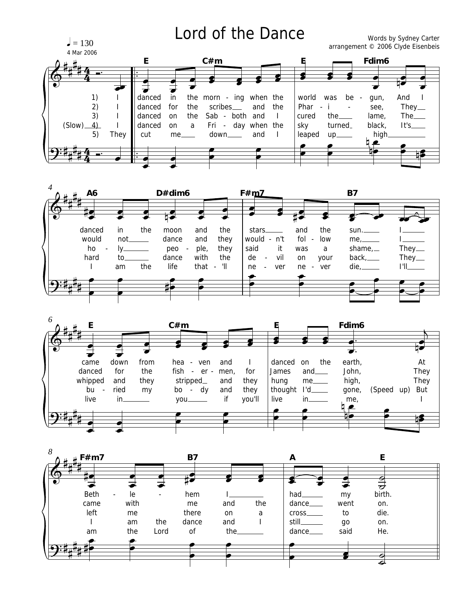## Lord of the Dance

Words by Sydney Carter  $\vert$  = 130 arrangement © 2006 Clyde Eisenbeis quality and  $\vert$  = 130 arrangement © 2006 Clyde Eisenbeis quality can extend on  $\vert$  arrangement © 2006 Clyde Eisenbeis quality of the stress of the stress of the stress of th